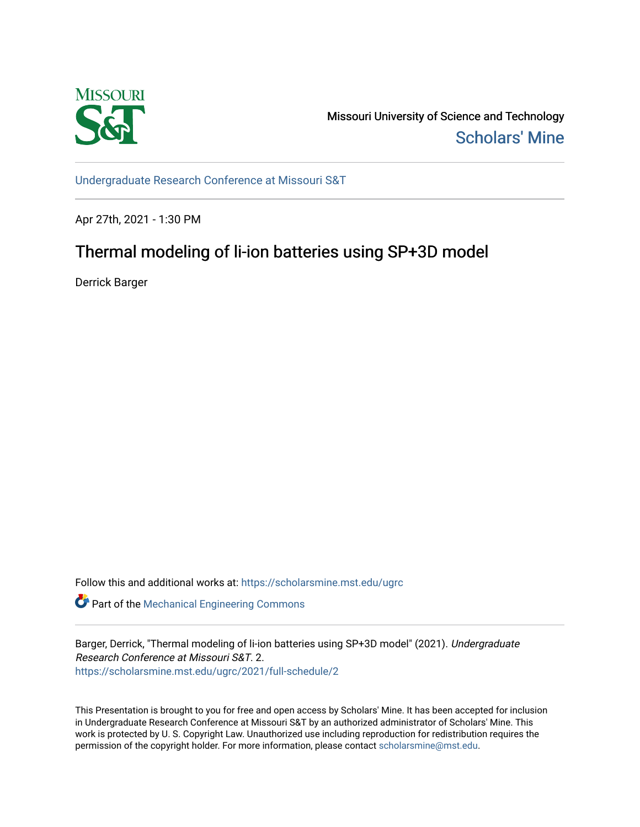

Missouri University of Science and Technology [Scholars' Mine](https://scholarsmine.mst.edu/) 

[Undergraduate Research Conference at Missouri S&T](https://scholarsmine.mst.edu/ugrc)

Apr 27th, 2021 - 1:30 PM

# Thermal modeling of li-ion batteries using SP+3D model

Derrick Barger

Follow this and additional works at: [https://scholarsmine.mst.edu/ugrc](https://scholarsmine.mst.edu/ugrc?utm_source=scholarsmine.mst.edu%2Fugrc%2F2021%2Ffull-schedule%2F2&utm_medium=PDF&utm_campaign=PDFCoverPages) 

**C** Part of the Mechanical Engineering Commons

Barger, Derrick, "Thermal modeling of li-ion batteries using SP+3D model" (2021). Undergraduate Research Conference at Missouri S&T. 2. [https://scholarsmine.mst.edu/ugrc/2021/full-schedule/2](https://scholarsmine.mst.edu/ugrc/2021/full-schedule/2?utm_source=scholarsmine.mst.edu%2Fugrc%2F2021%2Ffull-schedule%2F2&utm_medium=PDF&utm_campaign=PDFCoverPages)

This Presentation is brought to you for free and open access by Scholars' Mine. It has been accepted for inclusion in Undergraduate Research Conference at Missouri S&T by an authorized administrator of Scholars' Mine. This work is protected by U. S. Copyright Law. Unauthorized use including reproduction for redistribution requires the permission of the copyright holder. For more information, please contact [scholarsmine@mst.edu](mailto:scholarsmine@mst.edu).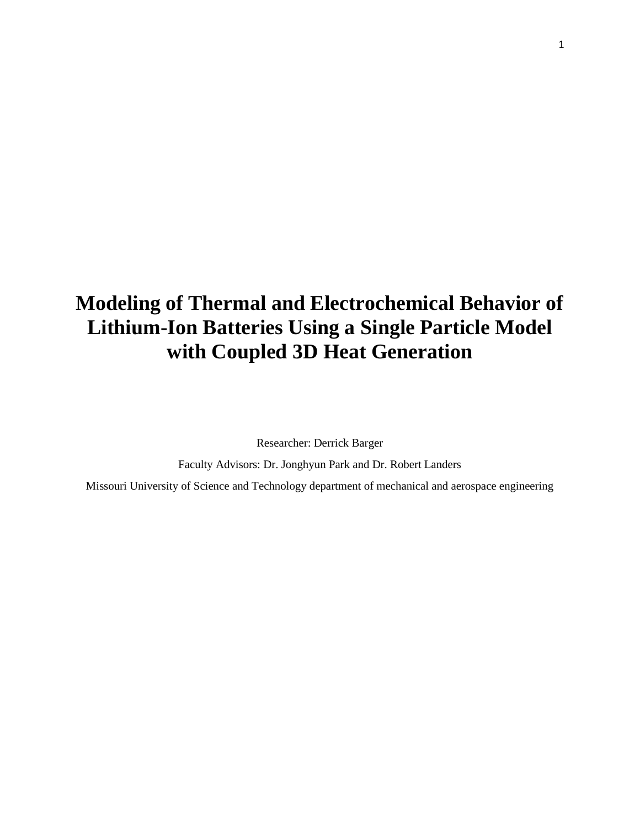# **Modeling of Thermal and Electrochemical Behavior of Lithium-Ion Batteries Using a Single Particle Model with Coupled 3D Heat Generation**

Researcher: Derrick Barger

Faculty Advisors: Dr. Jonghyun Park and Dr. Robert Landers

Missouri University of Science and Technology department of mechanical and aerospace engineering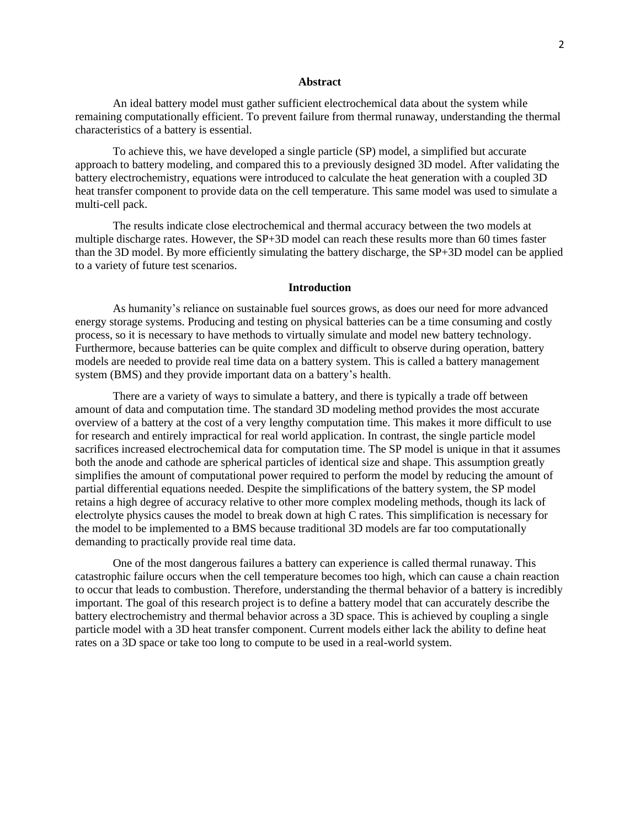#### **Abstract**

An ideal battery model must gather sufficient electrochemical data about the system while remaining computationally efficient. To prevent failure from thermal runaway, understanding the thermal characteristics of a battery is essential.

To achieve this, we have developed a single particle (SP) model, a simplified but accurate approach to battery modeling, and compared this to a previously designed 3D model. After validating the battery electrochemistry, equations were introduced to calculate the heat generation with a coupled 3D heat transfer component to provide data on the cell temperature. This same model was used to simulate a multi-cell pack.

The results indicate close electrochemical and thermal accuracy between the two models at multiple discharge rates. However, the SP+3D model can reach these results more than 60 times faster than the 3D model. By more efficiently simulating the battery discharge, the SP+3D model can be applied to a variety of future test scenarios.

#### **Introduction**

As humanity's reliance on sustainable fuel sources grows, as does our need for more advanced energy storage systems. Producing and testing on physical batteries can be a time consuming and costly process, so it is necessary to have methods to virtually simulate and model new battery technology. Furthermore, because batteries can be quite complex and difficult to observe during operation, battery models are needed to provide real time data on a battery system. This is called a battery management system (BMS) and they provide important data on a battery's health.

There are a variety of ways to simulate a battery, and there is typically a trade off between amount of data and computation time. The standard 3D modeling method provides the most accurate overview of a battery at the cost of a very lengthy computation time. This makes it more difficult to use for research and entirely impractical for real world application. In contrast, the single particle model sacrifices increased electrochemical data for computation time. The SP model is unique in that it assumes both the anode and cathode are spherical particles of identical size and shape. This assumption greatly simplifies the amount of computational power required to perform the model by reducing the amount of partial differential equations needed. Despite the simplifications of the battery system, the SP model retains a high degree of accuracy relative to other more complex modeling methods, though its lack of electrolyte physics causes the model to break down at high C rates. This simplification is necessary for the model to be implemented to a BMS because traditional 3D models are far too computationally demanding to practically provide real time data.

One of the most dangerous failures a battery can experience is called thermal runaway. This catastrophic failure occurs when the cell temperature becomes too high, which can cause a chain reaction to occur that leads to combustion. Therefore, understanding the thermal behavior of a battery is incredibly important. The goal of this research project is to define a battery model that can accurately describe the battery electrochemistry and thermal behavior across a 3D space. This is achieved by coupling a single particle model with a 3D heat transfer component. Current models either lack the ability to define heat rates on a 3D space or take too long to compute to be used in a real-world system.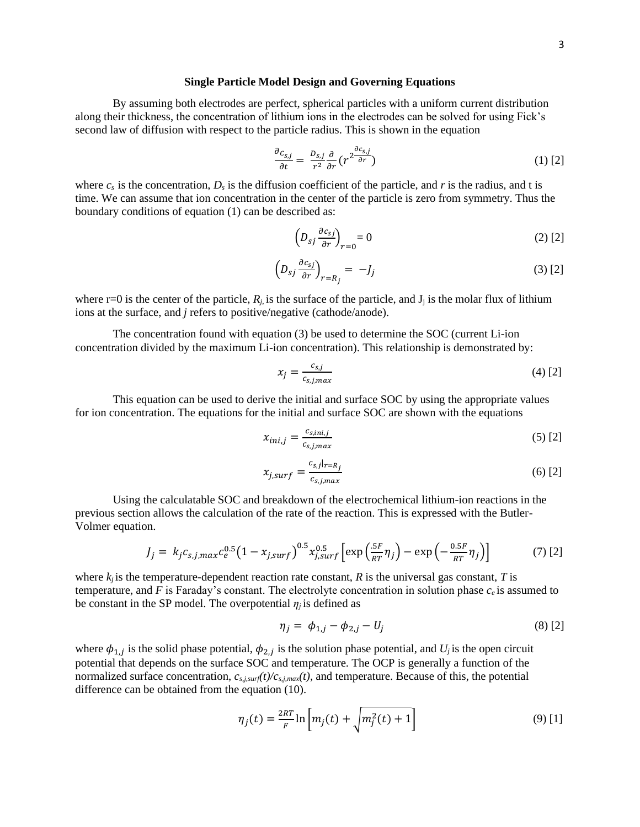#### **Single Particle Model Design and Governing Equations**

By assuming both electrodes are perfect, spherical particles with a uniform current distribution along their thickness, the concentration of lithium ions in the electrodes can be solved for using Fick's second law of diffusion with respect to the particle radius. This is shown in the equation

$$
\frac{\partial c_{s,j}}{\partial t} = \frac{D_{s,j}}{r^2} \frac{\partial}{\partial r} \left( r^2 \frac{\partial c_{s,j}}{\partial r} \right) \tag{1} \tag{2}
$$

where  $c_s$  is the concentration,  $D_s$  is the diffusion coefficient of the particle, and *r* is the radius, and t is time. We can assume that ion concentration in the center of the particle is zero from symmetry. Thus the boundary conditions of equation (1) can be described as:

$$
\left(D_{sj}\frac{\partial c_{sj}}{\partial r}\right)_{r=0} = 0\tag{2}
$$

$$
\left(D_{sj}\frac{\partial c_{sj}}{\partial r}\right)_{r=R_j} = -J_j \tag{3}
$$

where r=0 is the center of the particle,  $R_i$  is the surface of the particle, and  $J_i$  is the molar flux of lithium ions at the surface, and *j* refers to positive/negative (cathode/anode).

The concentration found with equation (3) be used to determine the SOC (current Li-ion concentration divided by the maximum Li-ion concentration). This relationship is demonstrated by:

$$
x_j = \frac{c_{s,j}}{c_{s,j,max}}\tag{4}
$$

This equation can be used to derive the initial and surface SOC by using the appropriate values for ion concentration. The equations for the initial and surface SOC are shown with the equations

$$
x_{ini,j} = \frac{c_{s,ini,j}}{c_{s,j,max}} \tag{5}
$$

$$
x_{j,surf} = \frac{c_{s,j}|_{r=R_j}}{c_{s,j,max}}\tag{6}
$$

Using the calculatable SOC and breakdown of the electrochemical lithium-ion reactions in the previous section allows the calculation of the rate of the reaction. This is expressed with the Butler-Volmer equation.

$$
J_j = k_j c_{s,j,max} c_e^{0.5} \left(1 - x_{j,surf}\right)^{0.5} x_{j,surf}^{0.5} \left[\exp\left(\frac{.5F}{RT}\eta_j\right) - \exp\left(-\frac{.05F}{RT}\eta_j\right)\right] \tag{7}
$$

where  $k_i$  is the temperature-dependent reaction rate constant,  $R$  is the universal gas constant,  $T$  is temperature, and  $F$  is Faraday's constant. The electrolyte concentration in solution phase  $c_e$  is assumed to be constant in the SP model. The overpotential  $\eta_i$  is defined as

$$
\eta_j = \phi_{1,j} - \phi_{2,j} - U_j \tag{8}
$$

where  $\phi_{1,j}$  is the solid phase potential,  $\phi_{2,j}$  is the solution phase potential, and  $U_j$  is the open circuit potential that depends on the surface SOC and temperature. The OCP is generally a function of the normalized surface concentration,  $c_{s,j,suff}(t)/c_{s,j,max}(t)$ , and temperature. Because of this, the potential difference can be obtained from the equation (10).

$$
\eta_j(t) = \frac{2RT}{F} \ln \left[ m_j(t) + \sqrt{m_j^2(t) + 1} \right]
$$
\n(9) [1]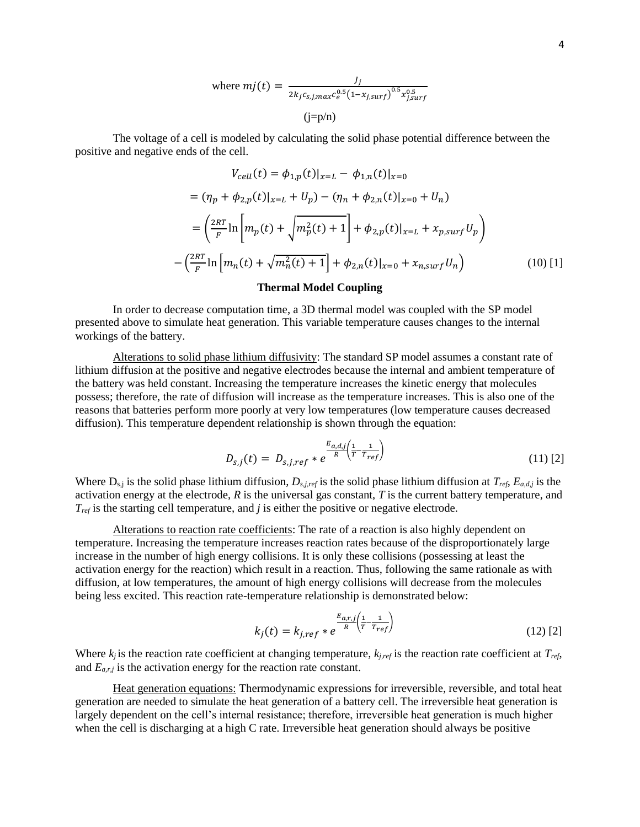where 
$$
mj(t) = \frac{J_j}{2k_j c_{s,j,max} c_e^{0.5} (1 - x_{j,surf})^{0.5} x_{j,surf}^{0.5}}
$$
  
(j=p/n)

The voltage of a cell is modeled by calculating the solid phase potential difference between the positive and negative ends of the cell.

$$
V_{cell}(t) = \phi_{1,p}(t)|_{x=L} - \phi_{1,n}(t)|_{x=0}
$$
  
=  $(\eta_p + \phi_{2,p}(t)|_{x=L} + U_p) - (\eta_n + \phi_{2,n}(t)|_{x=0} + U_n)$   
=  $\left(\frac{2RT}{F}\ln\left[m_p(t) + \sqrt{m_p^2(t) + 1}\right] + \phi_{2,p}(t)|_{x=L} + x_{p,surf}U_p\right)$   
 $- \left(\frac{2RT}{F}\ln\left[m_n(t) + \sqrt{m_n^2(t) + 1}\right] + \phi_{2,n}(t)|_{x=0} + x_{n,surf}U_n\right)$  (10) [1]

#### **Thermal Model Coupling**

In order to decrease computation time, a 3D thermal model was coupled with the SP model presented above to simulate heat generation. This variable temperature causes changes to the internal workings of the battery.

Alterations to solid phase lithium diffusivity: The standard SP model assumes a constant rate of lithium diffusion at the positive and negative electrodes because the internal and ambient temperature of the battery was held constant. Increasing the temperature increases the kinetic energy that molecules possess; therefore, the rate of diffusion will increase as the temperature increases. This is also one of the reasons that batteries perform more poorly at very low temperatures (low temperature causes decreased diffusion). This temperature dependent relationship is shown through the equation:

$$
D_{s,j}(t) = D_{s,j,ref} * e^{\frac{E_{a,d,j}}{R} \left(\frac{1}{T} - \frac{1}{T_{ref}}\right)}
$$
\n(11) [2]

Where Ds,j is the solid phase lithium diffusion, *Ds,j,ref* is the solid phase lithium diffusion at *Tref*, *Ea,d,j* is the activation energy at the electrode, *R* is the universal gas constant, *T* is the current battery temperature, and *Tref* is the starting cell temperature, and *j* is either the positive or negative electrode.

Alterations to reaction rate coefficients: The rate of a reaction is also highly dependent on temperature. Increasing the temperature increases reaction rates because of the disproportionately large increase in the number of high energy collisions. It is only these collisions (possessing at least the activation energy for the reaction) which result in a reaction. Thus, following the same rationale as with diffusion, at low temperatures, the amount of high energy collisions will decrease from the molecules being less excited. This reaction rate-temperature relationship is demonstrated below:

$$
k_j(t) = k_{j,ref} * e^{\frac{E_{a,r,j}\left(\frac{1}{T} - \frac{1}{T_{ref}}\right)}{R} \tag{12}
$$

Where  $k_j$  is the reaction rate coefficient at changing temperature,  $k_{j,ref}$  is the reaction rate coefficient at  $T_{ref}$ , and *Ea,r,j* is the activation energy for the reaction rate constant.

Heat generation equations: Thermodynamic expressions for irreversible, reversible, and total heat generation are needed to simulate the heat generation of a battery cell. The irreversible heat generation is largely dependent on the cell's internal resistance; therefore, irreversible heat generation is much higher when the cell is discharging at a high C rate. Irreversible heat generation should always be positive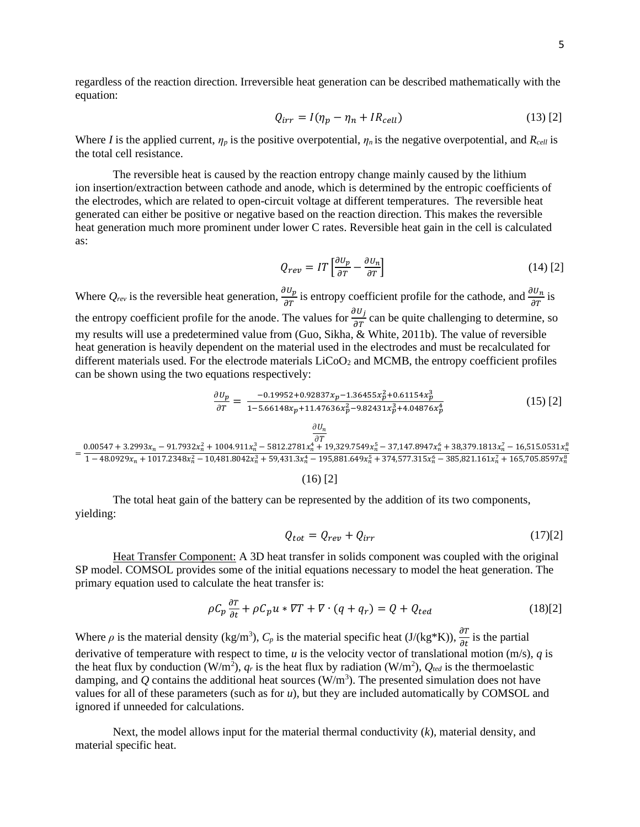regardless of the reaction direction. Irreversible heat generation can be described mathematically with the equation:

$$
Q_{irr} = I(\eta_p - \eta_n + IR_{cell})
$$
\n(13) [2]

Where *I* is the applied current,  $\eta_p$  is the positive overpotential,  $\eta_n$  is the negative overpotential, and  $R_{cell}$  is the total cell resistance.

The reversible heat is caused by the reaction entropy change mainly caused by the lithium ion insertion/extraction between cathode and anode, which is determined by the entropic coefficients of the electrodes, which are related to open-circuit voltage at different temperatures. The reversible heat generated can either be positive or negative based on the reaction direction. This makes the reversible heat generation much more prominent under lower C rates. Reversible heat gain in the cell is calculated as:

$$
Q_{rev} = IT \left[ \frac{\partial U_p}{\partial T} - \frac{\partial U_n}{\partial T} \right]
$$
 (14) [2]

Where  $Q_{rev}$  is the reversible heat generation,  $\frac{\partial U_p}{\partial T}$  is entropy coefficient profile for the cathode, and  $\frac{\partial U_n}{\partial T}$  is the entropy coefficient profile for the anode. The values for  $\frac{\partial U_j}{\partial r}$  can be quite challenging to determine, so my results will use a predetermined value from (Guo, Sikha, & White, 2011b). The value of reversible heat generation is heavily dependent on the material used in the electrodes and must be recalculated for different materials used. For the electrode materials  $LiCoO<sub>2</sub>$  and MCMB, the entropy coefficient profiles can be shown using the two equations respectively:

$$
\frac{\partial U_p}{\partial T} = \frac{-0.19952 + 0.92837 x_p - 1.36455 x_p^2 + 0.61154 x_p^3}{1 - 5.66148 x_p + 11.47636 x_p^2 - 9.82431 x_p^3 + 4.04876 x_p^4}
$$
(15) [2]

$$
=\frac{0.00547+3.2993x_n-91.7932x_n^2+1004.911x_n^3-5812.2781x_n^4+19,329.7549x_n^5-37,147.8947x_n^6+38,379.1813x_n^7-16,515.0531x_n^8}{1-48.0929x_n+1017.2348x_n^2-10,481.8042x_n^3+59,431.3x_n^4-195,881.649x_n^5+374,577.315x_n^6-385,821.161x_n^7+165,705.8597x_n^8}
$$

(16) [2]

The total heat gain of the battery can be represented by the addition of its two components, yielding:

$$
Q_{tot} = Q_{rev} + Q_{irr} \tag{17)[2]}
$$

Heat Transfer Component: A 3D heat transfer in solids component was coupled with the original SP model. COMSOL provides some of the initial equations necessary to model the heat generation. The primary equation used to calculate the heat transfer is:

$$
\rho C_p \frac{\partial r}{\partial t} + \rho C_p u * \nabla T + \nabla \cdot (q + q_r) = Q + Q_{ted}
$$
\n(18)[2]

Where  $\rho$  is the material density (kg/m<sup>3</sup>),  $C_p$  is the material specific heat (J/(kg\*K)),  $\frac{\partial T}{\partial t}$  is the partial derivative of temperature with respect to time, *u* is the velocity vector of translational motion (m/s), *q* is the heat flux by conduction (W/m<sup>2</sup>),  $q_r$  is the heat flux by radiation (W/m<sup>2</sup>),  $Q_{ted}$  is the thermoelastic damping, and  $Q$  contains the additional heat sources ( $W/m<sup>3</sup>$ ). The presented simulation does not have values for all of these parameters (such as for *u*), but they are included automatically by COMSOL and ignored if unneeded for calculations.

Next, the model allows input for the material thermal conductivity (*k*), material density, and material specific heat.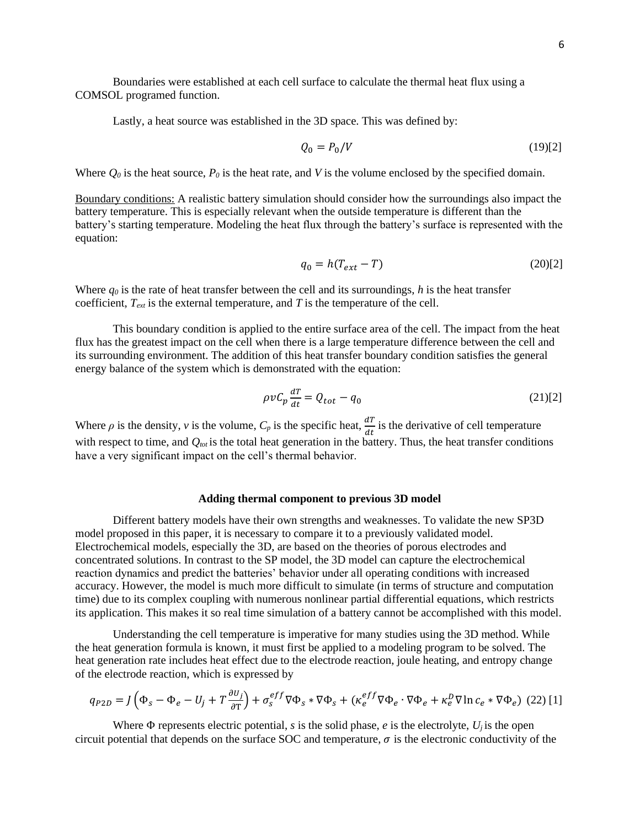Boundaries were established at each cell surface to calculate the thermal heat flux using a COMSOL programed function.

Lastly, a heat source was established in the 3D space. This was defined by:

$$
Q_0 = P_0/V \tag{19)[2}
$$

Where  $Q_0$  is the heat source,  $P_0$  is the heat rate, and *V* is the volume enclosed by the specified domain.

Boundary conditions: A realistic battery simulation should consider how the surroundings also impact the battery temperature. This is especially relevant when the outside temperature is different than the battery's starting temperature. Modeling the heat flux through the battery's surface is represented with the equation:

$$
q_0 = h(T_{ext} - T) \t\t(20)[2]
$$

Where  $q_0$  is the rate of heat transfer between the cell and its surroundings,  $h$  is the heat transfer coefficient, *Text* is the external temperature, and *T* is the temperature of the cell.

This boundary condition is applied to the entire surface area of the cell. The impact from the heat flux has the greatest impact on the cell when there is a large temperature difference between the cell and its surrounding environment. The addition of this heat transfer boundary condition satisfies the general energy balance of the system which is demonstrated with the equation:

$$
\rho v C_p \frac{dT}{dt} = Q_{tot} - q_0 \tag{21)[2]}
$$

Where  $\rho$  is the density,  $v$  is the volume,  $C_p$  is the specific heat,  $\frac{dT}{dt}$  is the derivative of cell temperature with respect to time, and  $Q_{tot}$  is the total heat generation in the battery. Thus, the heat transfer conditions have a very significant impact on the cell's thermal behavior.

#### **Adding thermal component to previous 3D model**

Different battery models have their own strengths and weaknesses. To validate the new SP3D model proposed in this paper, it is necessary to compare it to a previously validated model. Electrochemical models, especially the 3D, are based on the theories of porous electrodes and concentrated solutions. In contrast to the SP model, the 3D model can capture the electrochemical reaction dynamics and predict the batteries' behavior under all operating conditions with increased accuracy. However, the model is much more difficult to simulate (in terms of structure and computation time) due to its complex coupling with numerous nonlinear partial differential equations, which restricts its application. This makes it so real time simulation of a battery cannot be accomplished with this model.

Understanding the cell temperature is imperative for many studies using the 3D method. While the heat generation formula is known, it must first be applied to a modeling program to be solved. The heat generation rate includes heat effect due to the electrode reaction, joule heating, and entropy change of the electrode reaction, which is expressed by

$$
q_{P2D} = J\left(\Phi_s - \Phi_e - U_j + T\frac{\partial U_j}{\partial T}\right) + \sigma_s^{eff} \nabla \Phi_s \cdot \nabla \Phi_s + (\kappa_e^{eff} \nabla \Phi_e \cdot \nabla \Phi_e + \kappa_e^D \nabla \ln c_e \cdot \nabla \Phi_e) \tag{22}
$$

Where  $\Phi$  represents electric potential, *s* is the solid phase, *e* is the electrolyte,  $U_i$  is the open circuit potential that depends on the surface SOC and temperature,  $\sigma$  is the electronic conductivity of the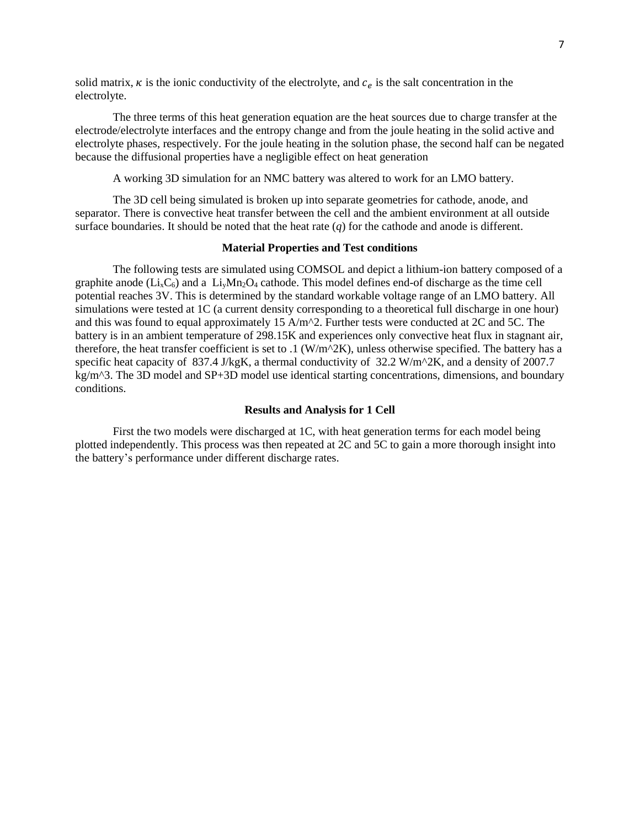solid matrix,  $\kappa$  is the ionic conductivity of the electrolyte, and  $c_e$  is the salt concentration in the electrolyte.

The three terms of this heat generation equation are the heat sources due to charge transfer at the electrode/electrolyte interfaces and the entropy change and from the joule heating in the solid active and electrolyte phases, respectively. For the joule heating in the solution phase, the second half can be negated because the diffusional properties have a negligible effect on heat generation

A working 3D simulation for an NMC battery was altered to work for an LMO battery.

The 3D cell being simulated is broken up into separate geometries for cathode, anode, and separator. There is convective heat transfer between the cell and the ambient environment at all outside surface boundaries. It should be noted that the heat rate  $(q)$  for the cathode and anode is different.

#### **Material Properties and Test conditions**

The following tests are simulated using COMSOL and depict a lithium-ion battery composed of a graphite anode  $(Li_xC_6)$  and a  $Li_yMn_2O_4$  cathode. This model defines end-of discharge as the time cell potential reaches 3V. This is determined by the standard workable voltage range of an LMO battery. All simulations were tested at 1C (a current density corresponding to a theoretical full discharge in one hour) and this was found to equal approximately 15 A/m^2. Further tests were conducted at 2C and 5C. The battery is in an ambient temperature of 298.15K and experiences only convective heat flux in stagnant air, therefore, the heat transfer coefficient is set to .1 (W/m^2K), unless otherwise specified. The battery has a specific heat capacity of 837.4 J/kgK, a thermal conductivity of 32.2 W/m^2K, and a density of 2007.7 kg/m<sup> $\alpha$ </sup>3. The 3D model and SP+3D model use identical starting concentrations, dimensions, and boundary conditions.

#### **Results and Analysis for 1 Cell**

First the two models were discharged at 1C, with heat generation terms for each model being plotted independently. This process was then repeated at 2C and 5C to gain a more thorough insight into the battery's performance under different discharge rates.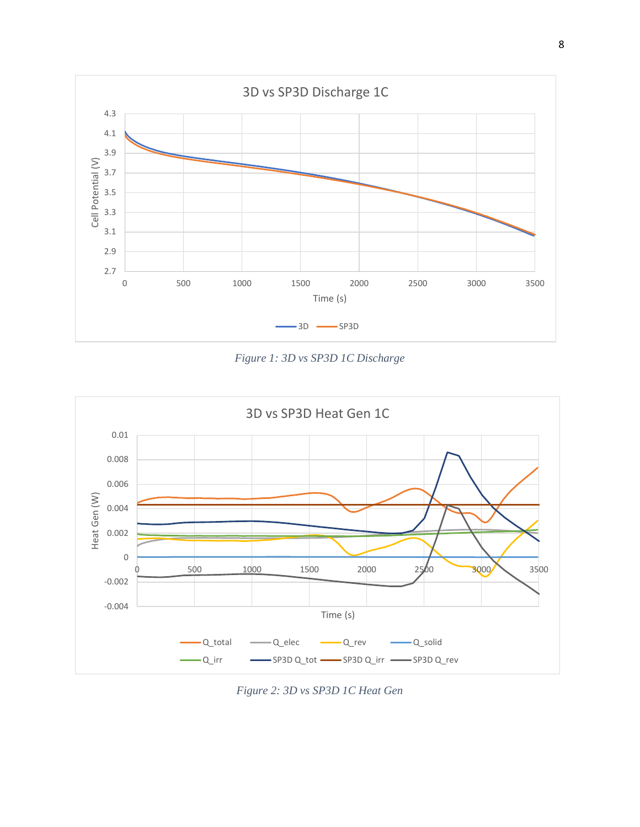

*Figure 1: 3D vs SP3D 1C Discharge*



*Figure 2: 3D vs SP3D 1C Heat Gen*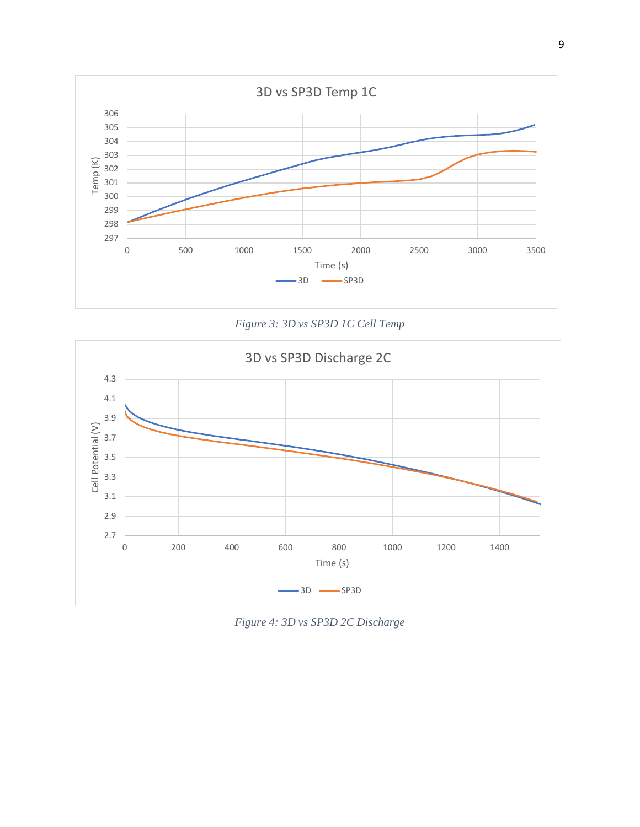

*Figure 3: 3D vs SP3D 1C Cell Temp*



*Figure 4: 3D vs SP3D 2C Discharge*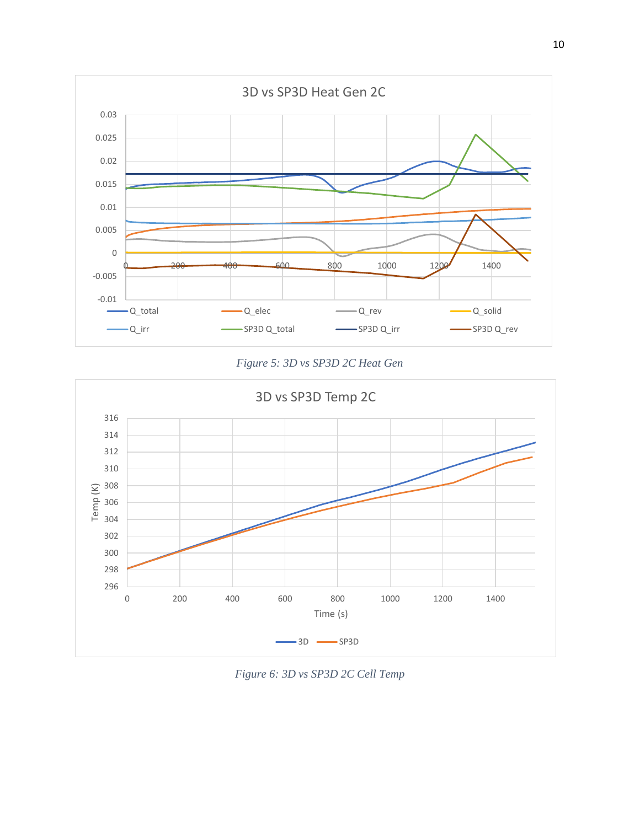





*Figure 6: 3D vs SP3D 2C Cell Temp*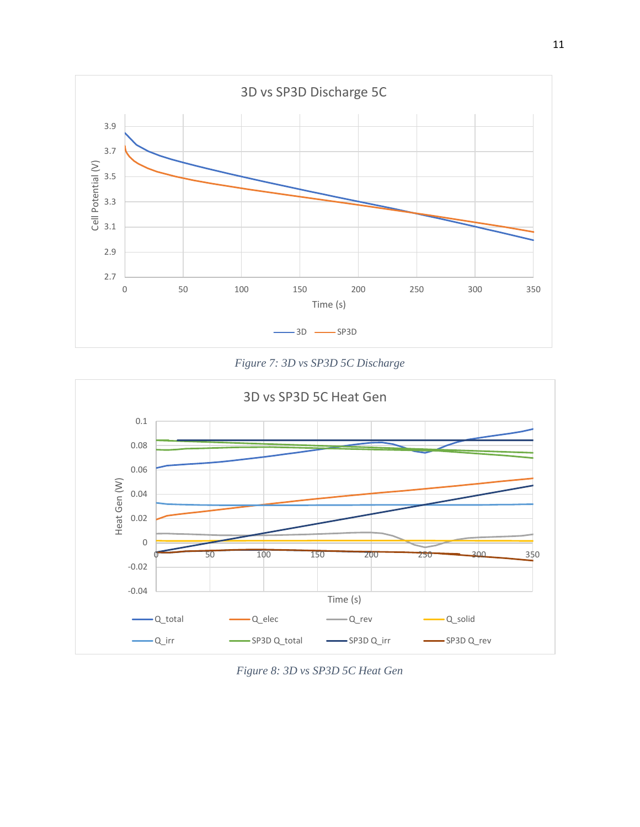

*Figure 7: 3D vs SP3D 5C Discharge*



*Figure 8: 3D vs SP3D 5C Heat Gen*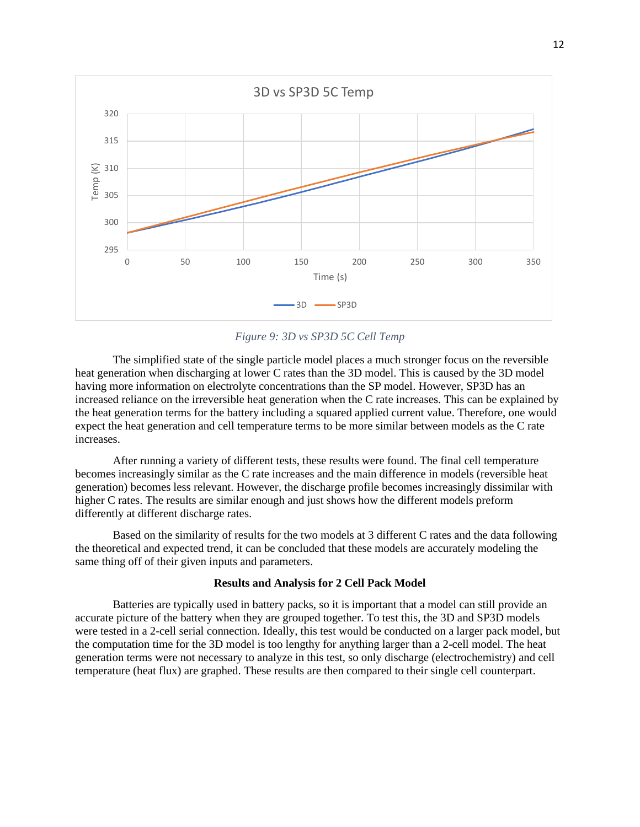

*Figure 9: 3D vs SP3D 5C Cell Temp*

The simplified state of the single particle model places a much stronger focus on the reversible heat generation when discharging at lower C rates than the 3D model. This is caused by the 3D model having more information on electrolyte concentrations than the SP model. However, SP3D has an increased reliance on the irreversible heat generation when the C rate increases. This can be explained by the heat generation terms for the battery including a squared applied current value. Therefore, one would expect the heat generation and cell temperature terms to be more similar between models as the C rate increases.

After running a variety of different tests, these results were found. The final cell temperature becomes increasingly similar as the C rate increases and the main difference in models (reversible heat generation) becomes less relevant. However, the discharge profile becomes increasingly dissimilar with higher C rates. The results are similar enough and just shows how the different models preform differently at different discharge rates.

Based on the similarity of results for the two models at 3 different C rates and the data following the theoretical and expected trend, it can be concluded that these models are accurately modeling the same thing off of their given inputs and parameters.

#### **Results and Analysis for 2 Cell Pack Model**

Batteries are typically used in battery packs, so it is important that a model can still provide an accurate picture of the battery when they are grouped together. To test this, the 3D and SP3D models were tested in a 2-cell serial connection. Ideally, this test would be conducted on a larger pack model, but the computation time for the 3D model is too lengthy for anything larger than a 2-cell model. The heat generation terms were not necessary to analyze in this test, so only discharge (electrochemistry) and cell temperature (heat flux) are graphed. These results are then compared to their single cell counterpart.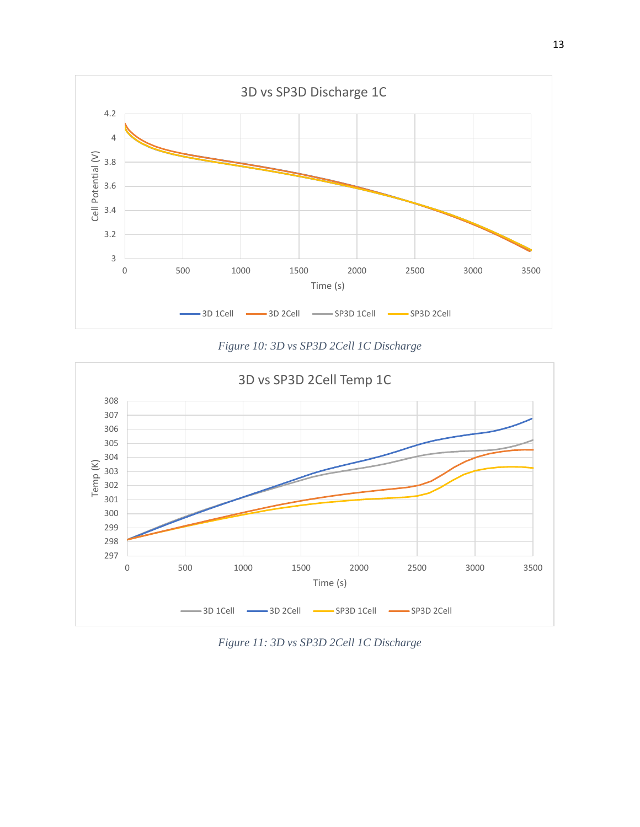

*Figure 10: 3D vs SP3D 2Cell 1C Discharge*



*Figure 11: 3D vs SP3D 2Cell 1C Discharge*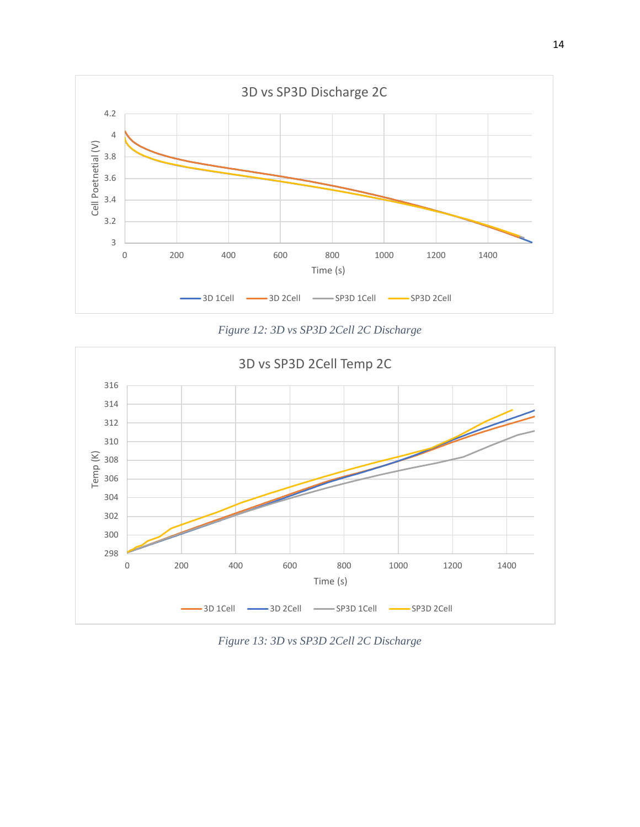

*Figure 12: 3D vs SP3D 2Cell 2C Discharge*



*Figure 13: 3D vs SP3D 2Cell 2C Discharge*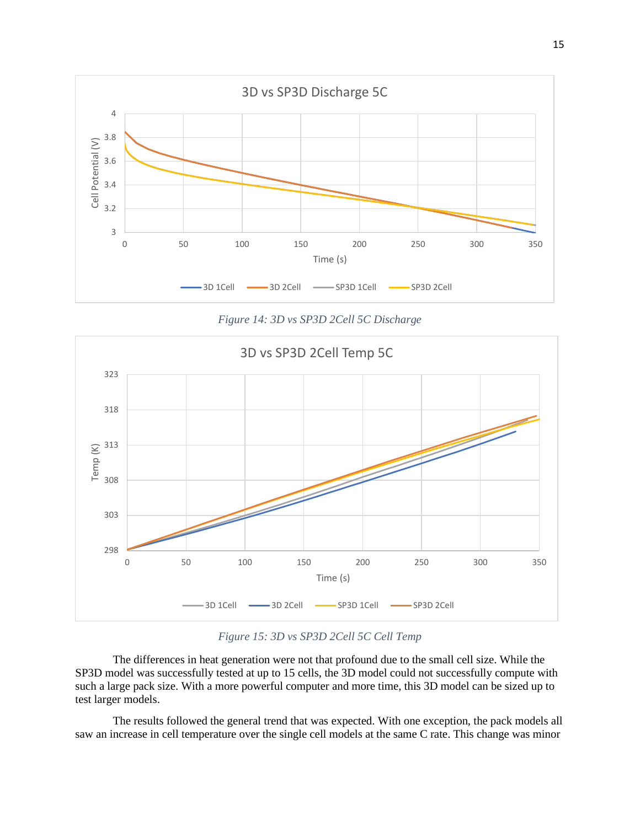

*Figure 14: 3D vs SP3D 2Cell 5C Discharge*



*Figure 15: 3D vs SP3D 2Cell 5C Cell Temp*

The differences in heat generation were not that profound due to the small cell size. While the SP3D model was successfully tested at up to 15 cells, the 3D model could not successfully compute with such a large pack size. With a more powerful computer and more time, this 3D model can be sized up to test larger models.

The results followed the general trend that was expected. With one exception, the pack models all saw an increase in cell temperature over the single cell models at the same C rate. This change was minor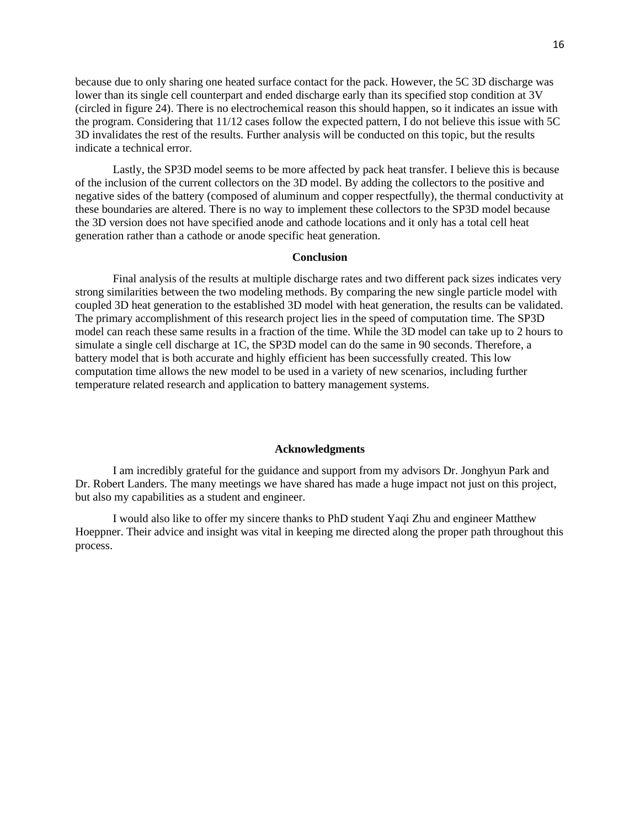because due to only sharing one heated surface contact for the pack. However, the 5C 3D discharge was lower than its single cell counterpart and ended discharge early than its specified stop condition at 3V (circled in figure 24). There is no electrochemical reason this should happen, so it indicates an issue with the program. Considering that 11/12 cases follow the expected pattern, I do not believe this issue with 5C 3D invalidates the rest of the results. Further analysis will be conducted on this topic, but the results indicate a technical error.

Lastly, the SP3D model seems to be more affected by pack heat transfer. I believe this is because of the inclusion of the current collectors on the 3D model. By adding the collectors to the positive and negative sides of the battery (composed of aluminum and copper respectfully), the thermal conductivity at these boundaries are altered. There is no way to implement these collectors to the SP3D model because the 3D version does not have specified anode and cathode locations and it only has a total cell heat generation rather than a cathode or anode specific heat generation.

#### **Conclusion**

Final analysis of the results at multiple discharge rates and two different pack sizes indicates very strong similarities between the two modeling methods. By comparing the new single particle model with coupled 3D heat generation to the established 3D model with heat generation, the results can be validated. The primary accomplishment of this research project lies in the speed of computation time. The SP3D model can reach these same results in a fraction of the time. While the 3D model can take up to 2 hours to simulate a single cell discharge at 1C, the SP3D model can do the same in 90 seconds. Therefore, a battery model that is both accurate and highly efficient has been successfully created. This low computation time allows the new model to be used in a variety of new scenarios, including further temperature related research and application to battery management systems.

#### **Acknowledgments**

I am incredibly grateful for the guidance and support from my advisors Dr. Jonghyun Park and Dr. Robert Landers. The many meetings we have shared has made a huge impact not just on this project, but also my capabilities as a student and engineer.

I would also like to offer my sincere thanks to PhD student Yaqi Zhu and engineer Matthew Hoeppner. Their advice and insight was vital in keeping me directed along the proper path throughout this process.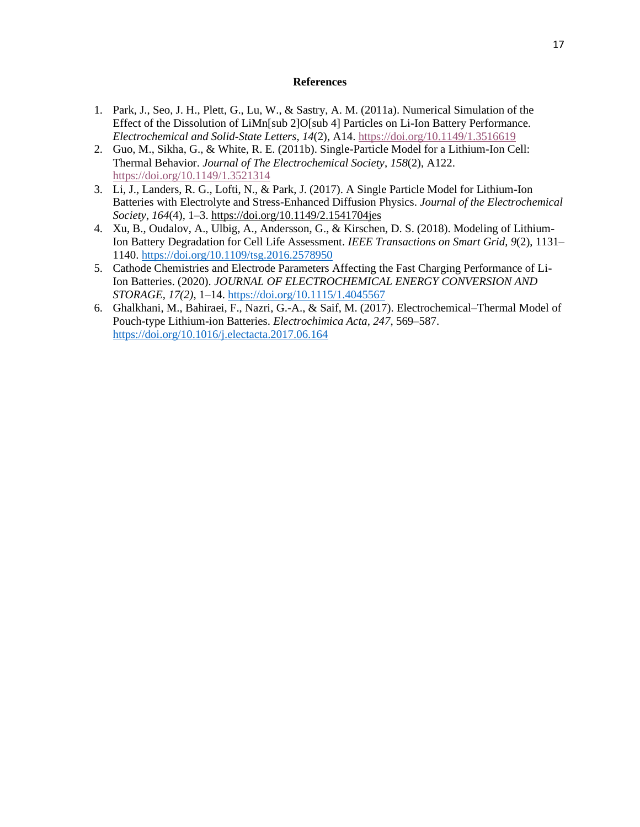#### **References**

- 1. Park, J., Seo, J. H., Plett, G., Lu, W., & Sastry, A. M. (2011a). Numerical Simulation of the Effect of the Dissolution of LiMn[sub 2]O[sub 4] Particles on Li-Ion Battery Performance. *Electrochemical and Solid-State Letters*, *14*(2), A14.<https://doi.org/10.1149/1.3516619>
- 2. Guo, M., Sikha, G., & White, R. E. (2011b). Single-Particle Model for a Lithium-Ion Cell: Thermal Behavior. *Journal of The Electrochemical Society*, *158*(2), A122. <https://doi.org/10.1149/1.3521314>
- 3. Li, J., Landers, R. G., Lofti, N., & Park, J. (2017). A Single Particle Model for Lithium-Ion Batteries with Electrolyte and Stress-Enhanced Diffusion Physics. *Journal of the Electrochemical Society*, *164*(4), 1–3.<https://doi.org/10.1149/2.1541704jes>
- 4. Xu, B., Oudalov, A., Ulbig, A., Andersson, G., & Kirschen, D. S. (2018). Modeling of Lithium-Ion Battery Degradation for Cell Life Assessment. *IEEE Transactions on Smart Grid*, *9*(2), 1131– 1140.<https://doi.org/10.1109/tsg.2016.2578950>
- 5. Cathode Chemistries and Electrode Parameters Affecting the Fast Charging Performance of Li-Ion Batteries. (2020). *JOURNAL OF ELECTROCHEMICAL ENERGY CONVERSION AND STORAGE, 17(2)*, 1–14.<https://doi.org/10.1115/1.4045567>
- 6. Ghalkhani, M., Bahiraei, F., Nazri, G.-A., & Saif, M. (2017). Electrochemical–Thermal Model of Pouch-type Lithium-ion Batteries. *Electrochimica Acta*, *247*, 569–587. <https://doi.org/10.1016/j.electacta.2017.06.164>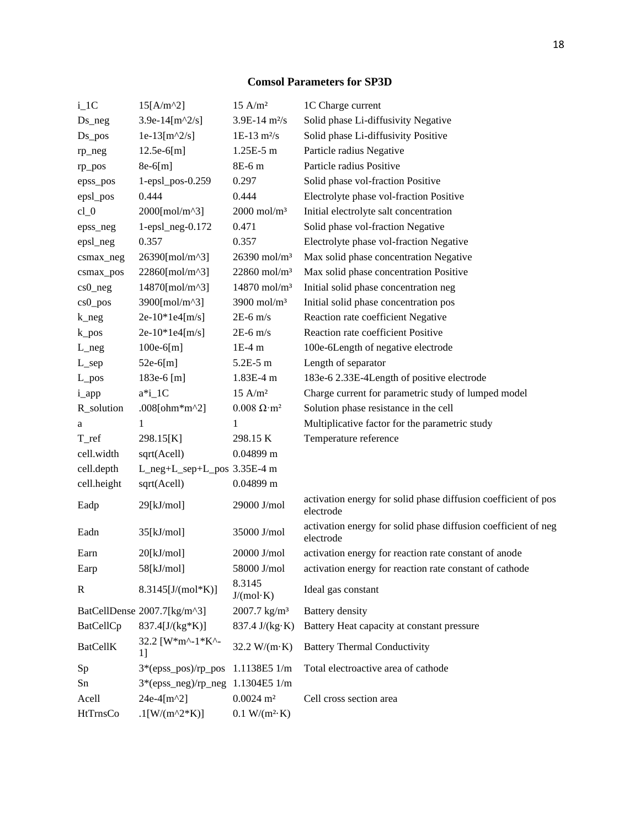## **Comsol Parameters for SP3D**

| $i_{1}$ C         | $15[A/m^2]$                     | $15$ A/m <sup>2</sup>        | 1C Charge current                                                           |
|-------------------|---------------------------------|------------------------------|-----------------------------------------------------------------------------|
| $Ds_{\text{neg}}$ | 3.9e-14[ $m^2/s$ ]              | $3.9E-14 \; m^2/s$           | Solid phase Li-diffusivity Negative                                         |
| $Ds_p$ os         | $1e-13[m^2/s]$                  | $1E-13 \text{ m}^2/\text{s}$ | Solid phase Li-diffusivity Positive                                         |
| rp_neg            | $12.5e-6[m]$                    | 1.25E-5 m                    | Particle radius Negative                                                    |
| rp_pos            | 8e-6[m]                         | 8E-6 m                       | Particle radius Positive                                                    |
| epss_pos          | 1-epsl_pos-0.259                | 0.297                        | Solid phase vol-fraction Positive                                           |
| epsl_pos          | 0.444                           | 0.444                        | Electrolyte phase vol-fraction Positive                                     |
| $cl_0$            | 2000[mol/m^3]                   | $2000$ mol/m <sup>3</sup>    | Initial electrolyte salt concentration                                      |
| epss_neg          | $1$ -epsl_neg- $0.172$          | 0.471                        | Solid phase vol-fraction Negative                                           |
| epsl_neg          | 0.357                           | 0.357                        | Electrolyte phase vol-fraction Negative                                     |
| csmax_neg         | 26390[mol/m^3]                  | 26390 mol/m <sup>3</sup>     | Max solid phase concentration Negative                                      |
| csmax_pos         | 22860[mol/m^3]                  | $22860$ mol/m <sup>3</sup>   | Max solid phase concentration Positive                                      |
| $cs0_neg$         | 14870[mol/m^3]                  | $14870$ mol/m <sup>3</sup>   | Initial solid phase concentration neg                                       |
| $cs0_p$ os        | 3900[mol/m^3]                   | 3900 mol/ $m3$               | Initial solid phase concentration pos                                       |
| $k_{\text{neg}}$  | $2e-10*1e4[m/s]$                | $2E-6$ m/s                   | Reaction rate coefficient Negative                                          |
| $k_p$ os          | $2e-10*1e4[m/s]$                | $2E-6$ m/s                   | Reaction rate coefficient Positive                                          |
| $L_{\text{neg}}$  | $100e-6[m]$                     | $1E-4m$                      | 100e-6Length of negative electrode                                          |
| $L$ _sep          | 52e-6[m]                        | 5.2E-5 m                     | Length of separator                                                         |
| $L_{\perp}pos$    | 183e-6 [m]                      | 1.83E-4 m                    | 183e-6 2.33E-4Length of positive electrode                                  |
| i_app             | $a^*i_1C$                       | 15 A/m <sup>2</sup>          | Charge current for parametric study of lumped model                         |
| R_solution        | .008[ohm*m^2]                   | $0.008 \Omega \cdot m^2$     | Solution phase resistance in the cell                                       |
| a                 | 1                               | 1                            | Multiplicative factor for the parametric study                              |
| T_ref             | 298.15[K]                       | 298.15 K                     | Temperature reference                                                       |
| cell.width        | sqrt(Acell)                     | $0.04899$ m                  |                                                                             |
| cell.depth        | L_neg+L_sep+L_pos 3.35E-4 m     |                              |                                                                             |
| cell.height       | sqrt(Acell)                     | $0.04899$ m                  |                                                                             |
| Eadp              | 29[kJ/mol]                      | 29000 J/mol                  | activation energy for solid phase diffusion coefficient of pos<br>electrode |
| Eadn              | 35[kJ/mol]                      | 35000 J/mol                  | activation energy for solid phase diffusion coefficient of neg<br>electrode |
| Earn              | 20[kJ/mol]                      | 20000 J/mol                  | activation energy for reaction rate constant of anode                       |
| Earp              | 58[kJ/mol]                      | 58000 J/mol                  | activation energy for reaction rate constant of cathode                     |
| $\mathbb{R}$      | $8.3145$ [J/(mol*K)]            | 8.3145<br>J/(mol·K)          | Ideal gas constant                                                          |
|                   | BatCellDense 2007.7[kg/m^3]     | $2007.7 \text{ kg/m}^3$      | <b>Battery</b> density                                                      |
| BatCellCp         | $837.4[J/(kg*K)]$               | 837.4 J/(kg·K)               | Battery Heat capacity at constant pressure                                  |
| <b>BatCellK</b>   | 32.2 [W*m^-1*K^-<br>1]          | $32.2 W/(m \cdot K)$         | <b>Battery Thermal Conductivity</b>                                         |
| Sp                | 3*(epss_pos)/rp_pos             | 1.1138E5 1/m                 | Total electroactive area of cathode                                         |
| Sn                | $3*(epssneg)/rpneg 1.1304E51/m$ |                              |                                                                             |
| Acell             | $24e-4[m^2]$                    | $0.0024 \; \mathrm{m}^2$     | Cell cross section area                                                     |
| HtTrnsCo          | .1[W/(m^2*K)]                   | $0.1 W/(m^2 \text{K})$       |                                                                             |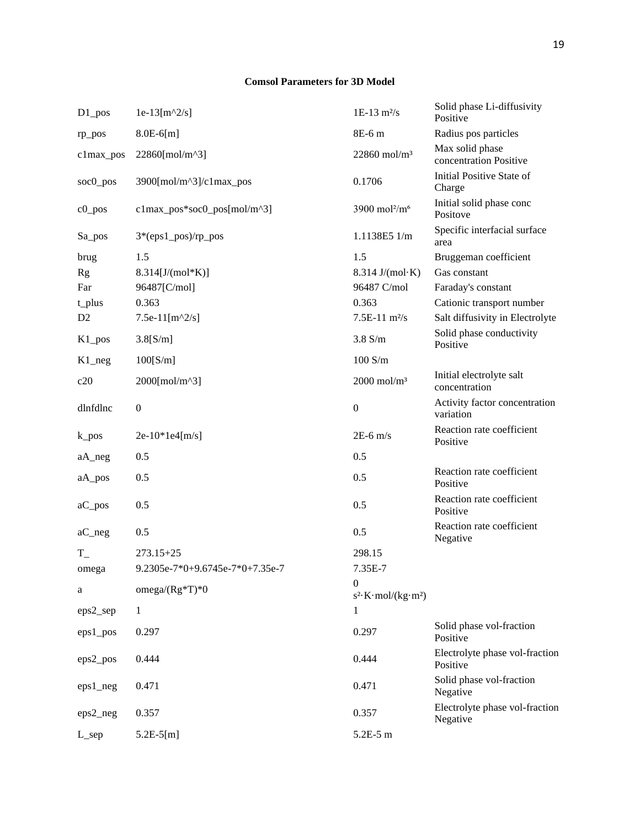### **Comsol Parameters for 3D Model**

| $D1_p$ os            | $1e-13[m^2/s]$                  | $1E-13$ m <sup>2</sup> /s                        | Solid phase Li-diffusivity<br>Positive     |
|----------------------|---------------------------------|--------------------------------------------------|--------------------------------------------|
| rp_pos               | $8.0E-6[m]$                     | 8E-6 m                                           | Radius pos particles                       |
| c1max_pos            | 22860[mol/m^3]                  | $22860$ mol/m <sup>3</sup>                       | Max solid phase<br>concentration Positive  |
| soc0_pos             | 3900[mol/m^3]/c1max_pos         | 0.1706                                           | Initial Positive State of<br>Charge        |
| $c0$ pos             | $clmax_pos*soc0_pos[mol/m^3]$   | 3900 mol <sup>2</sup> /m <sup>6</sup>            | Initial solid phase conc<br>Positove       |
| Sa_pos               | 3*(eps1_pos)/rp_pos             | 1.1138E5 1/m                                     | Specific interfacial surface<br>area       |
| brug                 | 1.5                             | 1.5                                              | Bruggeman coefficient                      |
| <b>Rg</b>            | $8.314[J/(mol*K)]$              | $8.314 \text{ J/(mol·K)}$                        | Gas constant                               |
| Far                  | 96487[C/mol]                    | 96487 C/mol                                      | Faraday's constant                         |
| t_plus               | 0.363                           | 0.363                                            | Cationic transport number                  |
| D <sub>2</sub>       | 7.5e-11[ $m^2/s$ ]              | $7.5E-11 \text{ m}^2\text{/s}$                   | Salt diffusivity in Electrolyte            |
| $K1_p$ os            | $3.8$ [S/m]                     | $3.8$ S/m                                        | Solid phase conductivity<br>Positive       |
| $K1$ <sub>_neg</sub> | 100[S/m]                        | $100$ S/m                                        |                                            |
| c20                  | 2000[mol/m^3]                   | $2000$ mol/m <sup>3</sup>                        | Initial electrolyte salt<br>concentration  |
| dlnfdlnc             | $\boldsymbol{0}$                | $\boldsymbol{0}$                                 | Activity factor concentration<br>variation |
| $k_p$ os             | $2e-10*1e4[m/s]$                | $2E-6$ m/s                                       | Reaction rate coefficient<br>Positive      |
| aA_neg               | 0.5                             | 0.5                                              |                                            |
| aA_pos               | 0.5                             | 0.5                                              | Reaction rate coefficient<br>Positive      |
| aC_pos               | 0.5                             | 0.5                                              | Reaction rate coefficient<br>Positive      |
| $aC_{\text{neg}}$    | 0.5                             | 0.5                                              | Reaction rate coefficient<br>Negative      |
| $T_{-}$              | $273.15 + 25$                   | 298.15                                           |                                            |
| omega                | 9.2305e-7*0+9.6745e-7*0+7.35e-7 | 7.35E-7                                          |                                            |
| a                    | omega/ $(Rg*T)*0$               | $\mathbf{0}$<br>$s^2$ K·mol/(kg·m <sup>2</sup> ) |                                            |
| eps2_sep             | $\mathbf{1}$                    | 1                                                |                                            |
| $eps1_pos$           | 0.297                           | 0.297                                            | Solid phase vol-fraction<br>Positive       |
| eps2_pos             | 0.444                           | 0.444                                            | Electrolyte phase vol-fraction<br>Positive |
| $eps1_neg$           | 0.471                           | 0.471                                            | Solid phase vol-fraction<br>Negative       |
| $eps2_neg$           | 0.357                           | 0.357                                            | Electrolyte phase vol-fraction<br>Negative |
| $L$ _sep             | $5.2E-5[m]$                     | $5.2E-5m$                                        |                                            |